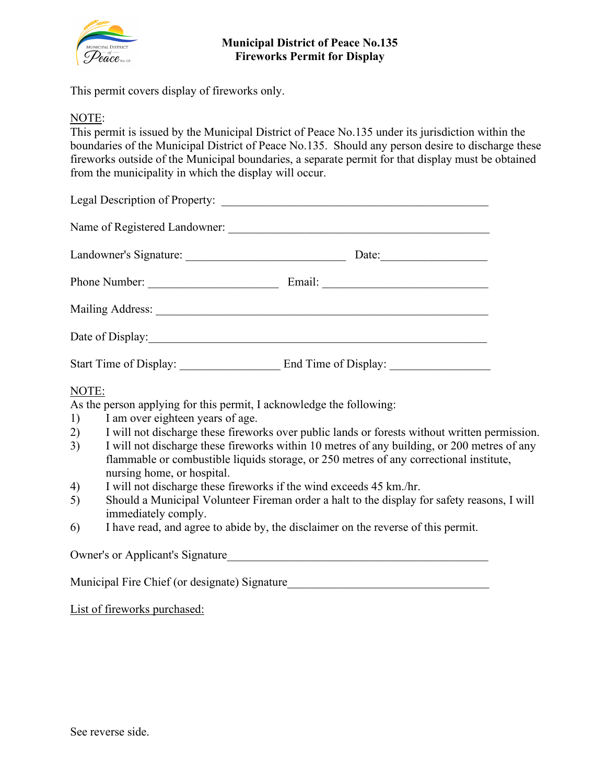

## **Municipal District of Peace No.135 Fireworks Permit for Display**

This permit covers display of fireworks only.

## NOTE:

This permit is issued by the Municipal District of Peace No.135 under its jurisdiction within the boundaries of the Municipal District of Peace No.135. Should any person desire to discharge these fireworks outside of the Municipal boundaries, a separate permit for that display must be obtained from the municipality in which the display will occur.

|                       | Date: |  |
|-----------------------|-------|--|
| Phone Number:         |       |  |
|                       |       |  |
| Date of Display: 1998 |       |  |
|                       |       |  |
| NOTE:                 |       |  |

As the person applying for this permit, I acknowledge the following:

- 1) I am over eighteen years of age.
- 2) I will not discharge these fireworks over public lands or forests without written permission.
- 3) I will not discharge these fireworks within 10 metres of any building, or 200 metres of any flammable or combustible liquids storage, or 250 metres of any correctional institute, nursing home, or hospital.
- 4) I will not discharge these fireworks if the wind exceeds 45 km./hr.
- 5) Should a Municipal Volunteer Fireman order a halt to the display for safety reasons, I will immediately comply.
- 6) I have read, and agree to abide by, the disclaimer on the reverse of this permit.

Owner's or Applicant's Signature

Municipal Fire Chief (or designate) Signature

List of fireworks purchased: